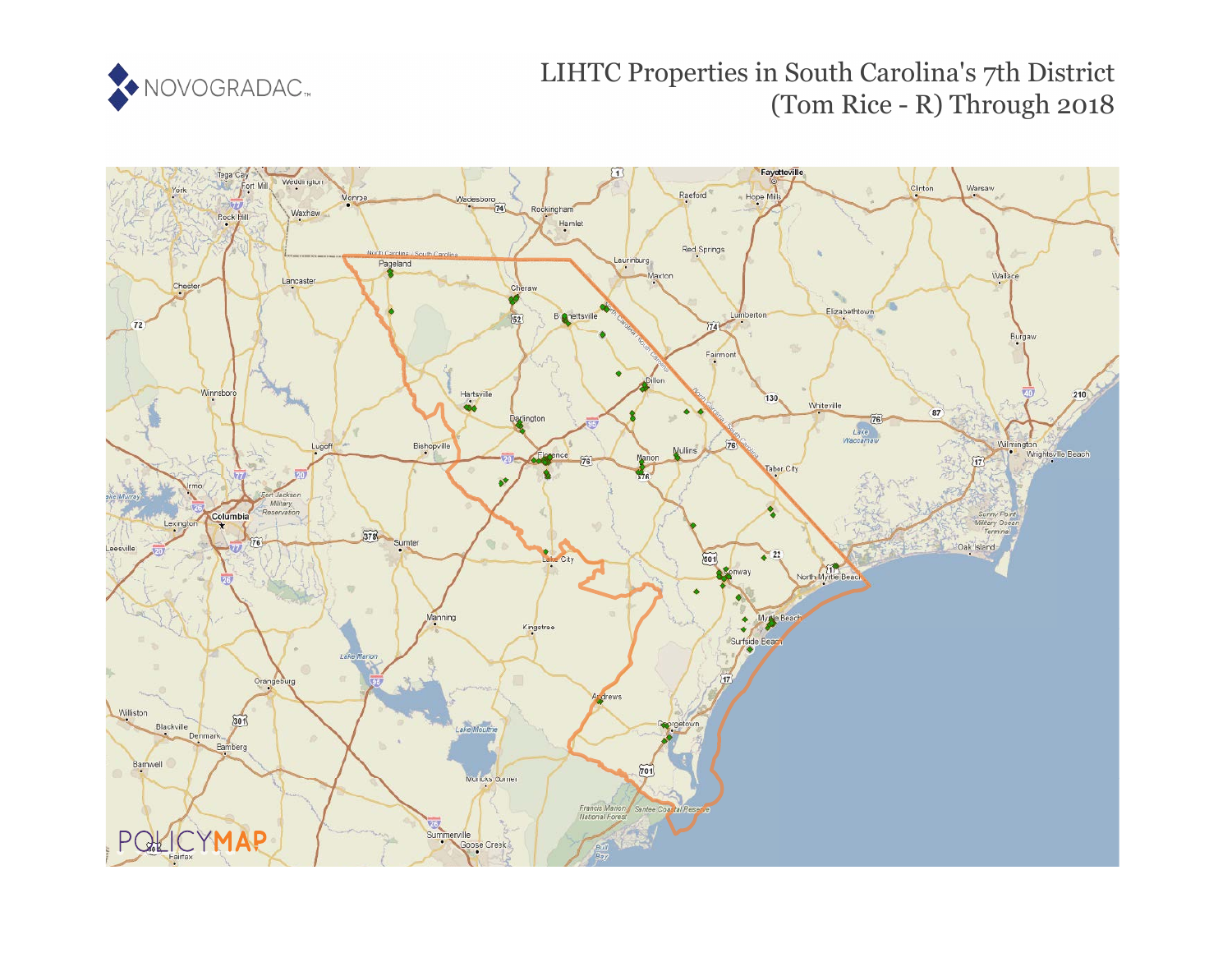

# LIHTC Properties in South Carolina's 7th District (Tom Rice - R) Through 2018

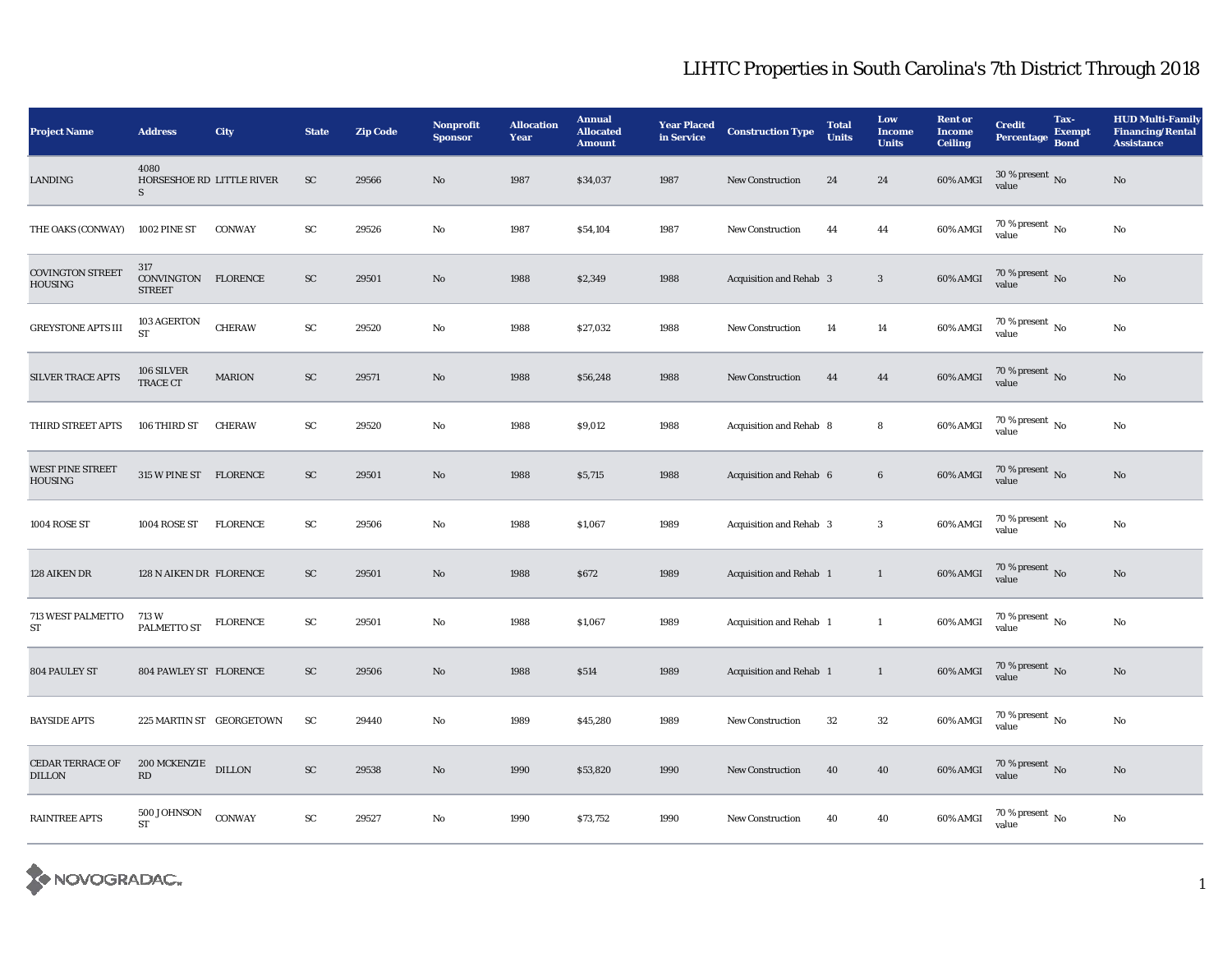| <b>Project Name</b>                       | <b>Address</b>                                 | City            | <b>State</b> | <b>Zip Code</b> | Nonprofit<br><b>Sponsor</b> | <b>Allocation</b><br>Year | <b>Annual</b><br><b>Allocated</b><br><b>Amount</b> | <b>Year Placed</b><br>in Service | <b>Construction Type</b>       | <b>Total</b><br><b>Units</b> | Low<br><b>Income</b><br><b>Units</b> | <b>Rent or</b><br><b>Income</b><br><b>Ceiling</b> | <b>Credit</b><br><b>Percentage</b>     | Tax-<br><b>Exempt</b><br><b>Bond</b> | <b>HUD Multi-Family</b><br><b>Financing/Rental</b><br><b>Assistance</b> |
|-------------------------------------------|------------------------------------------------|-----------------|--------------|-----------------|-----------------------------|---------------------------|----------------------------------------------------|----------------------------------|--------------------------------|------------------------------|--------------------------------------|---------------------------------------------------|----------------------------------------|--------------------------------------|-------------------------------------------------------------------------|
| LANDING                                   | 4080<br>HORSESHOE RD LITTLE RIVER<br>${\bf S}$ |                 | ${\rm SC}$   | 29566           | No                          | 1987                      | \$34,037                                           | 1987                             | New Construction               | 24                           | 24                                   | $60\%$ AMGI                                       | $30$ % present $\,$ No $\,$<br>value   |                                      | $\rm No$                                                                |
| THE OAKS (CONWAY)                         | 1002 PINE ST                                   | CONWAY          | ${\rm SC}$   | 29526           | No                          | 1987                      | \$54,104                                           | 1987                             | <b>New Construction</b>        | 44                           | 44                                   | 60% AMGI                                          | 70 % present $\,$ No $\,$<br>value     |                                      | $\rm No$                                                                |
| <b>COVINGTON STREET</b><br><b>HOUSING</b> | 317<br>CONVINGTON FLORENCE<br><b>STREET</b>    |                 | ${\rm SC}$   | 29501           | No                          | 1988                      | \$2,349                                            | 1988                             | Acquisition and Rehab 3        |                              | $\overline{\mathbf{3}}$              | 60% AMGI                                          | $70$ % present $_{\rm{No}}$            |                                      | $\rm No$                                                                |
| <b>GREYSTONE APTS III</b>                 | 103 AGERTON<br><b>ST</b>                       | <b>CHERAW</b>   | ${\rm SC}$   | 29520           | No                          | 1988                      | \$27,032                                           | 1988                             | <b>New Construction</b>        | 14                           | $14\,$                               | 60% AMGI                                          | $70\,\%$ present $\,$ No $\,$<br>value |                                      | $\rm No$                                                                |
| <b>SILVER TRACE APTS</b>                  | 106 SILVER<br>TRACE CT                         | <b>MARION</b>   | ${\rm SC}$   | 29571           | No                          | 1988                      | \$56,248                                           | 1988                             | New Construction               | 44                           | 44                                   | 60% AMGI                                          | $70\,\%$ present $\,$ No value         |                                      | $\rm No$                                                                |
| THIRD STREET APTS                         | 106 THIRD ST                                   | <b>CHERAW</b>   | ${\rm SC}$   | 29520           | No                          | 1988                      | \$9,012                                            | 1988                             | Acquisition and Rehab 8        |                              | 8                                    | 60% AMGI                                          | 70 % present $\,$ No $\,$<br>value     |                                      | $\rm No$                                                                |
| <b>WEST PINE STREET</b><br><b>HOUSING</b> | 315 W PINE ST FLORENCE                         |                 | ${\rm SC}$   | 29501           | $\mathbf{N}\mathbf{o}$      | 1988                      | \$5,715                                            | 1988                             | Acquisition and Rehab 6        |                              | $\bf 6$                              | 60% AMGI                                          | $70\,\%$ present $\,$ No value         |                                      | No                                                                      |
| 1004 ROSE ST                              | 1004 ROSE ST                                   | <b>FLORENCE</b> | SC           | 29506           | No                          | 1988                      | \$1,067                                            | 1989                             | <b>Acquisition and Rehab 3</b> |                              | $\boldsymbol{3}$                     | 60% AMGI                                          | $70$ % present $\,$ No $\,$<br>value   |                                      | No                                                                      |
| 128 AIKEN DR                              | 128 N AIKEN DR FLORENCE                        |                 | <b>SC</b>    | 29501           | No                          | 1988                      | \$672                                              | 1989                             | Acquisition and Rehab 1        |                              | $\mathbf{1}$                         | 60% AMGI                                          | $70\,\%$ present $_{\rm{No}}$          |                                      | $\mathbf{N}\mathbf{o}$                                                  |
| 713 WEST PALMETTO<br>ST                   | 713 W<br>PALMETTO ST                           | <b>FLORENCE</b> | ${\rm SC}$   | 29501           | No                          | 1988                      | \$1,067                                            | 1989                             | Acquisition and Rehab 1        |                              | $\mathbf{1}$                         | 60% AMGI                                          | 70 % present $\,$ No $\,$<br>value     |                                      | No                                                                      |
| 804 PAULEY ST                             | 804 PAWLEY ST FLORENCE                         |                 | <b>SC</b>    | 29506           | No                          | 1988                      | \$514                                              | 1989                             | Acquisition and Rehab 1        |                              | $\mathbf{1}$                         | 60% AMGI                                          | $70\,\%$ present $\,$ No value         |                                      | No                                                                      |
| <b>BAYSIDE APTS</b>                       | 225 MARTIN ST GEORGETOWN                       |                 | <b>SC</b>    | 29440           | No                          | 1989                      | \$45,280                                           | 1989                             | <b>New Construction</b>        | $32\,$                       | $32\,$                               | $60\%$ AMGI                                       | $70$ % present $\,$ No $\,$<br>value   |                                      | $\rm No$                                                                |
| <b>CEDAR TERRACE OF</b><br><b>DILLON</b>  | 200 MCKENZIE DILLON<br>RD                      |                 | ${\rm SC}$   | 29538           | No                          | 1990                      | \$53,820                                           | 1990                             | <b>New Construction</b>        | 40                           | 40                                   | 60% AMGI                                          | $70\,\%$ present $\,$ No value         |                                      | $\rm No$                                                                |
| <b>RAINTREE APTS</b>                      | 500 JOHNSON<br><b>ST</b>                       | CONWAY          | ${\rm SC}$   | 29527           | No                          | 1990                      | \$73,752                                           | 1990                             | <b>New Construction</b>        | 40                           | 40                                   | 60% AMGI                                          | $70\,\%$ present $\,$ No value         |                                      | $\rm No$                                                                |

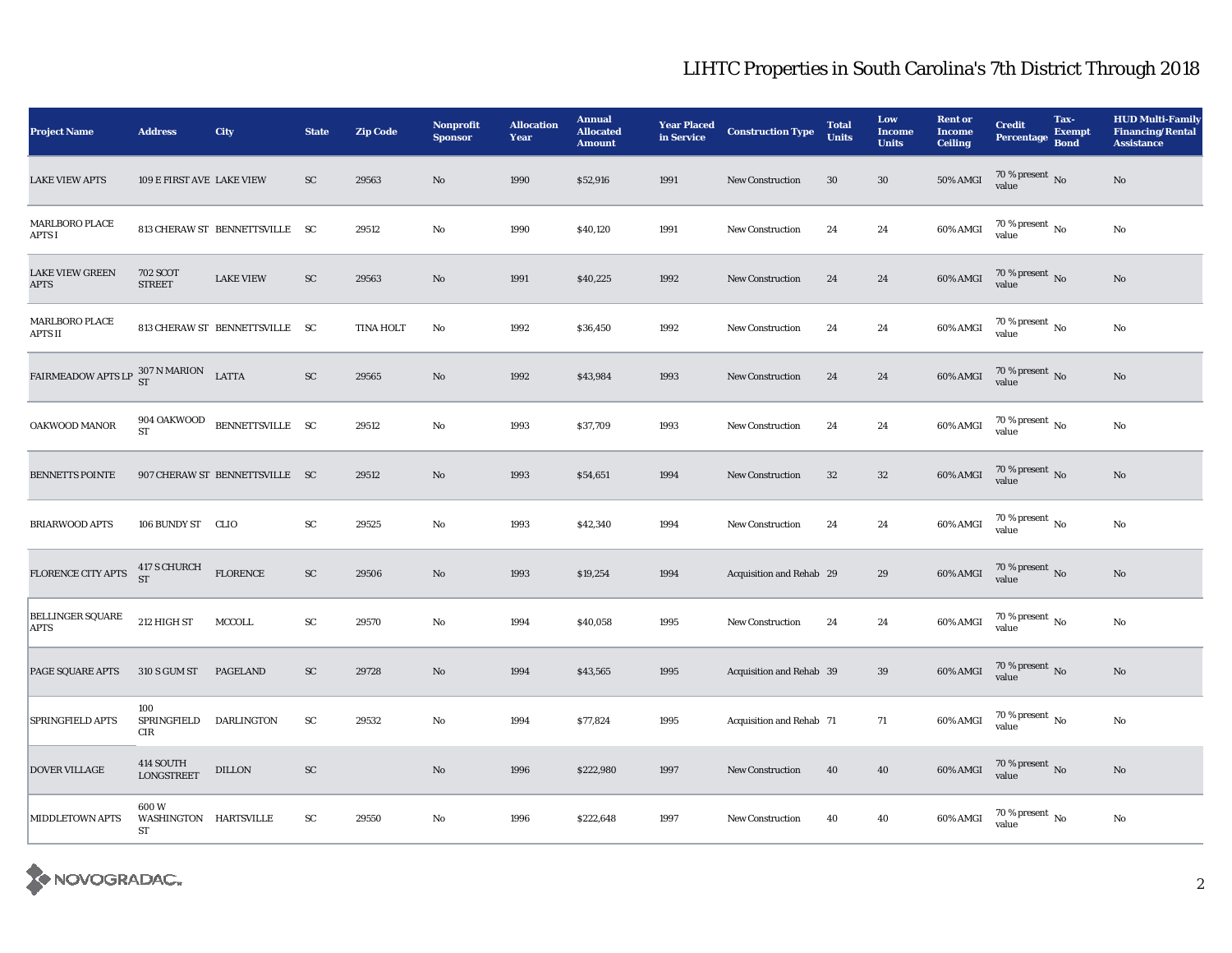| <b>Project Name</b>                                                                                                                        | <b>Address</b>                      | City                           | <b>State</b> | <b>Zip Code</b> | Nonprofit<br><b>Sponsor</b> | <b>Allocation</b><br>Year | <b>Annual</b><br><b>Allocated</b><br><b>Amount</b> | <b>Year Placed</b><br>in Service | <b>Construction Type</b> | <b>Total</b><br><b>Units</b> | Low<br><b>Income</b><br><b>Units</b> | <b>Rent or</b><br><b>Income</b><br><b>Ceiling</b> | <b>Credit</b><br><b>Percentage</b>     | Tax-<br><b>Exempt</b><br><b>Bond</b> | <b>HUD Multi-Family</b><br><b>Financing/Rental</b><br><b>Assistance</b> |
|--------------------------------------------------------------------------------------------------------------------------------------------|-------------------------------------|--------------------------------|--------------|-----------------|-----------------------------|---------------------------|----------------------------------------------------|----------------------------------|--------------------------|------------------------------|--------------------------------------|---------------------------------------------------|----------------------------------------|--------------------------------------|-------------------------------------------------------------------------|
| <b>LAKE VIEW APTS</b>                                                                                                                      | 109 E FIRST AVE LAKE VIEW           |                                | ${\rm SC}$   | 29563           | No                          | 1990                      | \$52,916                                           | 1991                             | <b>New Construction</b>  | $30\,$                       | $30\,$                               | <b>50% AMGI</b>                                   | $70\,\%$ present $\,$ No value         |                                      | $\rm No$                                                                |
| MARLBORO PLACE<br>APTS I                                                                                                                   |                                     | 813 CHERAW ST BENNETTSVILLE SC |              | 29512           | $\mathbf{No}$               | 1990                      | \$40,120                                           | 1991                             | <b>New Construction</b>  | 24                           | 24                                   | 60% AMGI                                          | $70\,\%$ present $\,$ No value         |                                      | $\rm No$                                                                |
| <b>LAKE VIEW GREEN</b><br><b>APTS</b>                                                                                                      | <b>702 SCOT</b><br><b>STREET</b>    | <b>LAKE VIEW</b>               | ${\rm SC}$   | 29563           | No                          | 1991                      | \$40,225                                           | 1992                             | <b>New Construction</b>  | 24                           | 24                                   | 60% AMGI                                          | $70$ % present $_{\rm{No}}$            |                                      | $\rm No$                                                                |
| <b>MARLBORO PLACE</b><br>APTS II                                                                                                           |                                     | 813 CHERAW ST BENNETTSVILLE SC |              | TINA HOLT       | $\mathbf{No}$               | 1992                      | \$36,450                                           | 1992                             | <b>New Construction</b>  | 24                           | 24                                   | 60% AMGI                                          | $70$ % present $\,$ No value           |                                      | $\rm No$                                                                |
| $\begin{tabular}{ll} \bf{FAIRMEADOW \; APTS \; LP} & \begin{tabular}{ll} \bf{307 \; N \; MARION} \end{tabular} & \bf{LATTA} \end{tabular}$ |                                     |                                | ${\rm SC}$   | 29565           | No                          | 1992                      | \$43,984                                           | 1993                             | <b>New Construction</b>  | 24                           | 24                                   | 60% AMGI                                          | $70$ % present $\,$ No value           |                                      | $\rm\thinspace No$                                                      |
| OAKWOOD MANOR                                                                                                                              | 904 OAKWOOD<br><b>ST</b>            | BENNETTSVILLE SC               |              | 29512           | $\mathbf{No}$               | 1993                      | \$37,709                                           | 1993                             | <b>New Construction</b>  | 24                           | 24                                   | 60% AMGI                                          | $70$ % present $\,$ No $\,$<br>value   |                                      | $\rm No$                                                                |
| <b>BENNETTS POINTE</b>                                                                                                                     |                                     | 907 CHERAW ST BENNETTSVILLE SC |              | 29512           | No                          | 1993                      | \$54,651                                           | 1994                             | <b>New Construction</b>  | 32                           | $32\phantom{.0}$                     | 60% AMGI                                          | $70$ % present $\,$ No value           |                                      | No                                                                      |
| <b>BRIARWOOD APTS</b>                                                                                                                      | 106 BUNDY ST CLIO                   |                                | ${\rm SC}$   | 29525           | No                          | 1993                      | \$42,340                                           | 1994                             | <b>New Construction</b>  | 24                           | 24                                   | 60% AMGI                                          | 70 % present $\,$ No $\,$<br>value     |                                      | $\rm No$                                                                |
| FLORENCE CITY APTS                                                                                                                         | 417 S CHURCH<br>ST                  | <b>FLORENCE</b>                | ${\rm SC}$   | 29506           | No                          | 1993                      | \$19,254                                           | 1994                             | Acquisition and Rehab 29 |                              | 29                                   | 60% AMGI                                          | $70$ % present $\,$ No value           |                                      | $\rm No$                                                                |
| <b>BELLINGER SQUARE</b><br>APTS                                                                                                            | 212 HIGH ST                         | MCCOLL                         | ${\rm SC}$   | 29570           | No                          | 1994                      | \$40,058                                           | 1995                             | <b>New Construction</b>  | 24                           | 24                                   | 60% AMGI                                          | $70$ % present $_{\, \rm No}$<br>value |                                      | $\mathbf{N}\mathbf{o}$                                                  |
| PAGE SQUARE APTS                                                                                                                           | 310 S GUM ST                        | <b>PAGELAND</b>                | ${\rm SC}$   | 29728           | No                          | 1994                      | \$43,565                                           | 1995                             | Acquisition and Rehab 39 |                              | 39                                   | 60% AMGI                                          | $70$ % present $\,$ No value           |                                      | No                                                                      |
| SPRINGFIELD APTS                                                                                                                           | 100<br>SPRINGFIELD<br>$\rm CIR$     | DARLINGTON                     | ${\rm SC}$   | 29532           | No                          | 1994                      | \$77,824                                           | 1995                             | Acquisition and Rehab 71 |                              | 71                                   | 60% AMGI                                          | $70\,\%$ present $_{\rm No}$<br>value  |                                      | $\rm No$                                                                |
| <b>DOVER VILLAGE</b>                                                                                                                       | 414 SOUTH<br><b>LONGSTREET</b>      | <b>DILLON</b>                  | ${\rm SC}$   |                 | No                          | 1996                      | \$222,980                                          | 1997                             | <b>New Construction</b>  | 40                           | 40                                   | 60% AMGI                                          | $70$ % present $\,$ No value           |                                      | $\rm No$                                                                |
| <b>MIDDLETOWN APTS</b>                                                                                                                     | 600W<br>WASHINGTON HARTSVILLE<br>ST |                                | SC           | 29550           | No                          | 1996                      | \$222,648                                          | 1997                             | <b>New Construction</b>  | 40                           | 40                                   | 60% AMGI                                          | $70$ % present $\,$ No value           |                                      | $\rm No$                                                                |

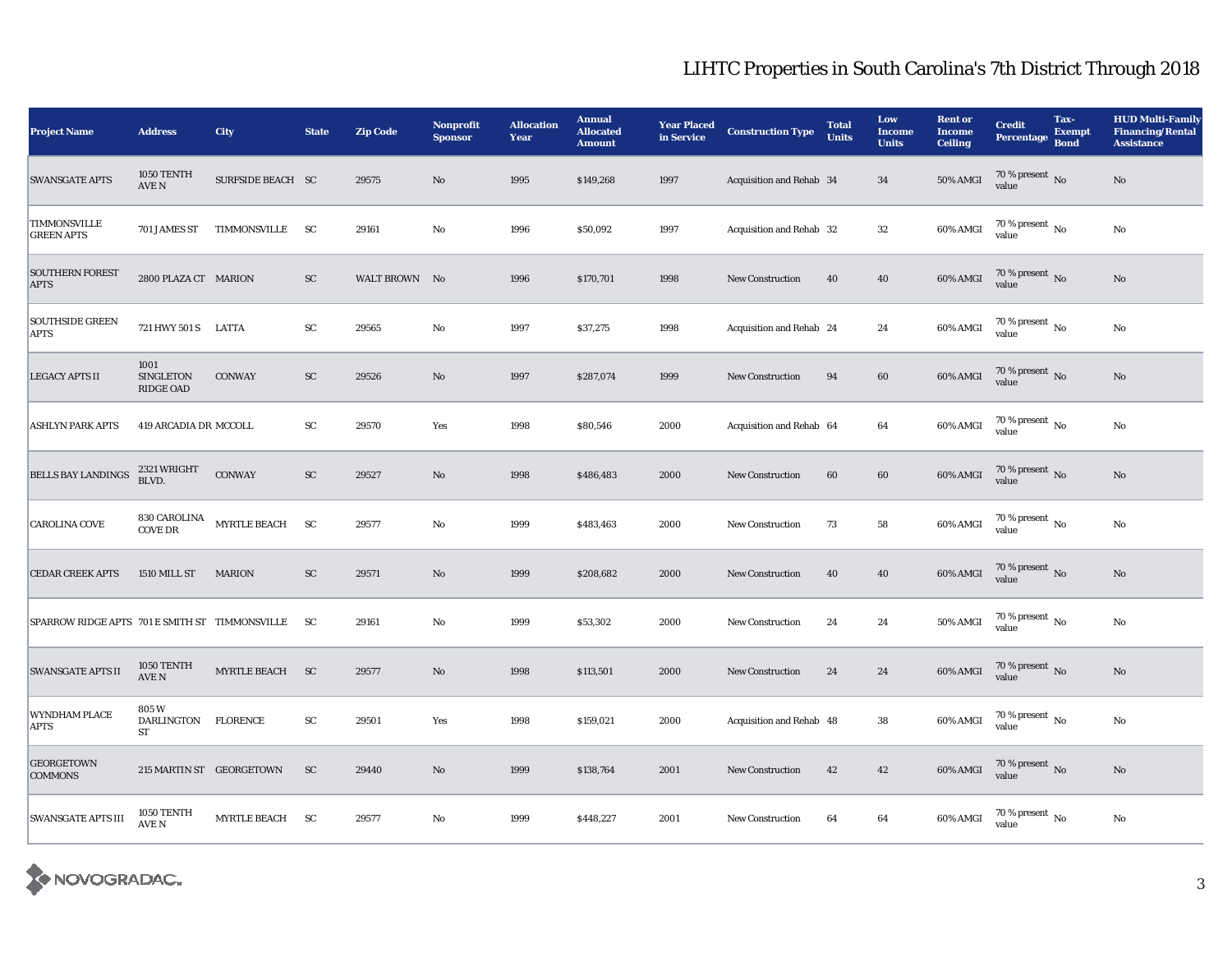| <b>Project Name</b>                            | <b>Address</b>                           | <b>City</b>              | <b>State</b> | <b>Zip Code</b> | Nonprofit<br><b>Sponsor</b> | <b>Allocation</b><br>Year | <b>Annual</b><br><b>Allocated</b><br><b>Amount</b> | <b>Year Placed</b><br>in Service | <b>Construction Type</b> | <b>Total</b><br><b>Units</b> | Low<br><b>Income</b><br><b>Units</b> | <b>Rent or</b><br><b>Income</b><br><b>Ceiling</b> | <b>Credit</b><br><b>Percentage</b>   | Tax-<br><b>Exempt</b><br><b>Bond</b> | <b>HUD Multi-Family</b><br><b>Financing/Rental</b><br><b>Assistance</b> |
|------------------------------------------------|------------------------------------------|--------------------------|--------------|-----------------|-----------------------------|---------------------------|----------------------------------------------------|----------------------------------|--------------------------|------------------------------|--------------------------------------|---------------------------------------------------|--------------------------------------|--------------------------------------|-------------------------------------------------------------------------|
| <b>SWANSGATE APTS</b>                          | 1050 TENTH<br>$\operatorname{AVE}$ N     | SURFSIDE BEACH SC        |              | 29575           | $\mathbf{N}\mathbf{o}$      | 1995                      | \$149,268                                          | 1997                             | Acquisition and Rehab 34 |                              | 34                                   | $50\%$ AMGI                                       | $70\,\%$ present $\,$ No value       |                                      | $\rm No$                                                                |
| <b>TIMMONSVILLE</b><br><b>GREEN APTS</b>       | 701 JAMES ST                             | TIMMONSVILLE             | <b>SC</b>    | 29161           | No                          | 1996                      | \$50,092                                           | 1997                             | Acquisition and Rehab 32 |                              | 32                                   | 60% AMGI                                          | $70$ % present $\,$ No $\,$<br>value |                                      | $\rm No$                                                                |
| <b>SOUTHERN FOREST</b><br><b>APTS</b>          | 2800 PLAZA CT MARION                     |                          | SC           | WALT BROWN No   |                             | 1996                      | \$170,701                                          | 1998                             | <b>New Construction</b>  | 40                           | 40                                   | 60% AMGI                                          | $70\,\%$ present $_{\rm No}$         |                                      | $\mathbf{N}\mathbf{o}$                                                  |
| SOUTHSIDE GREEN<br><b>APTS</b>                 | 721 HWY 501 S LATTA                      |                          | ${\rm SC}$   | 29565           | No                          | 1997                      | \$37,275                                           | 1998                             | Acquisition and Rehab 24 |                              | 24                                   | 60% AMGI                                          | $70$ % present $\,$ No $\,$<br>value |                                      | No                                                                      |
| <b>LEGACY APTS II</b>                          | 1001<br><b>SINGLETON</b><br>RIDGE OAD    | CONWAY                   | ${\rm SC}$   | 29526           | No                          | 1997                      | \$287,074                                          | 1999                             | <b>New Construction</b>  | 94                           | 60                                   | $60\%$ AMGI                                       | $70\,\%$ present $\,$ No value       |                                      | $\rm No$                                                                |
| ASHLYN PARK APTS                               | 419 ARCADIA DR MCCOLL                    |                          | SC           | 29570           | Yes                         | 1998                      | \$80,546                                           | 2000                             | Acquisition and Rehab 64 |                              | 64                                   | 60% AMGI                                          | $70$ % present $\,$ No $\,$<br>value |                                      | $\rm No$                                                                |
| <b>BELLS BAY LANDINGS</b>                      | 2321 WRIGHT<br>BLVD.                     | <b>CONWAY</b>            | ${\rm SC}$   | 29527           | No                          | 1998                      | \$486,483                                          | 2000                             | <b>New Construction</b>  | 60                           | 60                                   | 60% AMGI                                          | $70\,\%$ present $\,$ No value       |                                      | $\rm No$                                                                |
| CAROLINA COVE                                  | 830 CAROLINA<br>$\operatorname{COVE}$ DR | <b>MYRTLE BEACH</b>      | <b>SC</b>    | 29577           | No                          | 1999                      | \$483,463                                          | 2000                             | <b>New Construction</b>  | 73                           | 58                                   | 60% AMGI                                          | 70 % present $\,$ No $\,$<br>value   |                                      | $\rm No$                                                                |
| <b>CEDAR CREEK APTS</b>                        | 1510 MILL ST                             | <b>MARION</b>            | SC           | 29571           | $\rm No$                    | 1999                      | \$208,682                                          | 2000                             | <b>New Construction</b>  | 40                           | 40                                   | 60% AMGI                                          | $70\,\%$ present $\,$ No value       |                                      | $\mathbf{N}\mathbf{o}$                                                  |
| SPARROW RIDGE APTS 701 E SMITH ST TIMMONSVILLE |                                          |                          | - SC         | 29161           | No                          | 1999                      | \$53,302                                           | 2000                             | <b>New Construction</b>  | 24                           | 24                                   | <b>50% AMGI</b>                                   | 70 % present $\,$ No $\,$<br>value   |                                      | No                                                                      |
| <b>SWANSGATE APTS II</b>                       | 1050 TENTH<br>$\operatorname{AVE}$ N     | <b>MYRTLE BEACH</b>      | SC           | 29577           | $\mathbf{N}\mathbf{o}$      | 1998                      | \$113,501                                          | 2000                             | <b>New Construction</b>  | 24                           | 24                                   | 60% AMGI                                          | $70\,\%$ present $\,$ No value       |                                      | $\rm No$                                                                |
| WYNDHAM PLACE<br><b>APTS</b>                   | 805W<br>DARLINGTON FLORENCE<br>ST        |                          | ${\rm SC}$   | 29501           | Yes                         | 1998                      | \$159,021                                          | 2000                             | Acquisition and Rehab 48 |                              | 38                                   | 60% AMGI                                          | $70\,\%$ present $\,$ No value       |                                      | $\rm No$                                                                |
| <b>GEORGETOWN</b><br><b>COMMONS</b>            |                                          | 215 MARTIN ST GEORGETOWN | <b>SC</b>    | 29440           | No                          | 1999                      | \$138,764                                          | 2001                             | <b>New Construction</b>  | 42                           | 42                                   | $60\%$ AMGI                                       | $70\,\%$ present $\,$ No value       |                                      | No                                                                      |
| <b>SWANSGATE APTS III</b>                      | 1050 TENTH<br>AVE N                      | <b>MYRTLE BEACH</b>      | <b>SC</b>    | 29577           | No                          | 1999                      | \$448,227                                          | 2001                             | <b>New Construction</b>  | 64                           | 64                                   | 60% AMGI                                          | 70 % present $\,$ No $\,$<br>value   |                                      | No                                                                      |

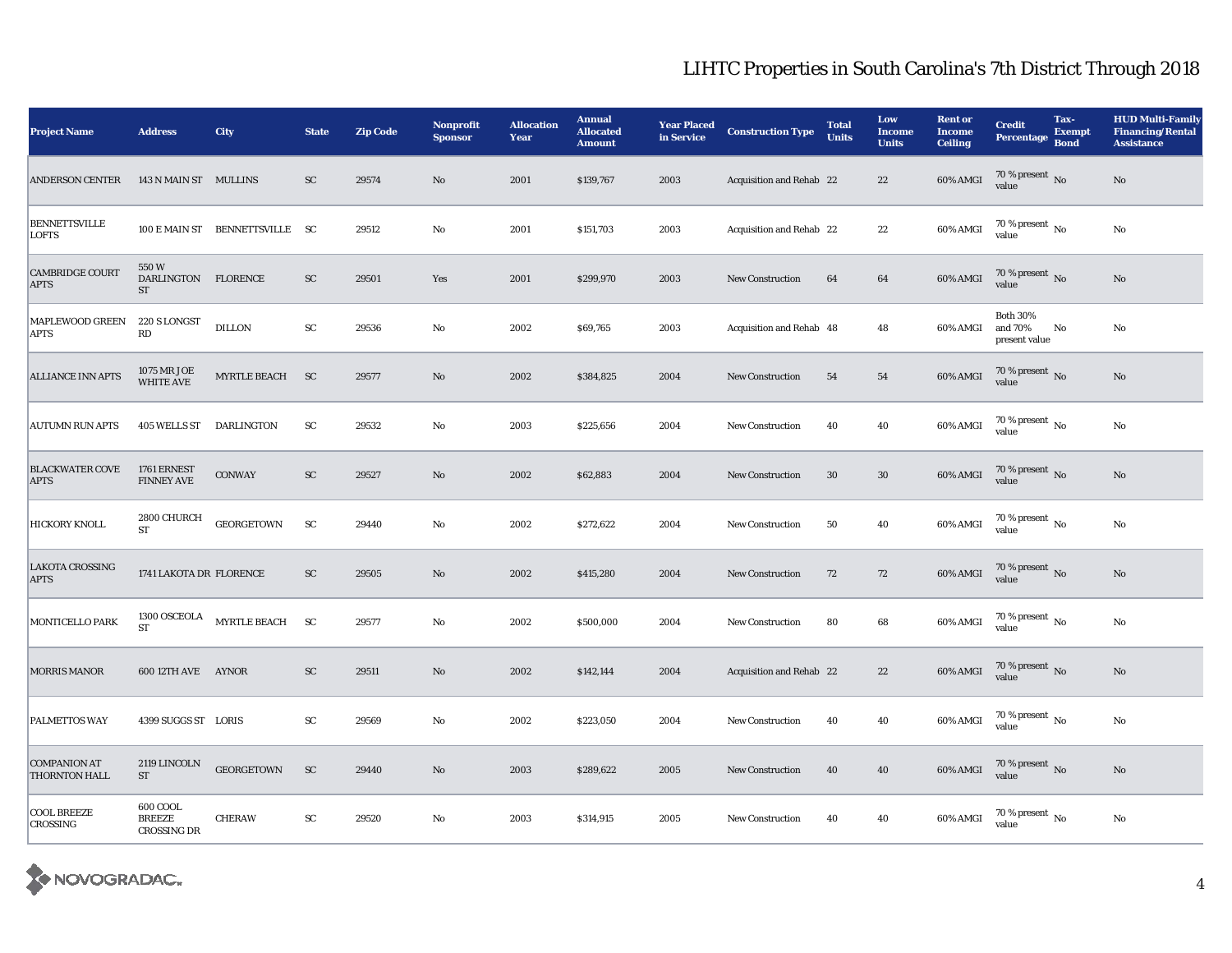| <b>Project Name</b>                   | <b>Address</b>                           | City                           | <b>State</b> | <b>Zip Code</b> | <b>Nonprofit</b><br><b>Sponsor</b> | <b>Allocation</b><br>Year | <b>Annual</b><br><b>Allocated</b><br><b>Amount</b> | <b>Year Placed</b><br>in Service | <b>Construction Type</b> | <b>Total</b><br><b>Units</b> | Low<br><b>Income</b><br><b>Units</b> | <b>Rent or</b><br><b>Income</b><br><b>Ceiling</b> | <b>Credit</b><br>Percentage                 | Tax-<br><b>Exempt</b><br><b>Bond</b> | <b>HUD Multi-Family</b><br><b>Financing/Rental</b><br><b>Assistance</b> |
|---------------------------------------|------------------------------------------|--------------------------------|--------------|-----------------|------------------------------------|---------------------------|----------------------------------------------------|----------------------------------|--------------------------|------------------------------|--------------------------------------|---------------------------------------------------|---------------------------------------------|--------------------------------------|-------------------------------------------------------------------------|
| <b>ANDERSON CENTER</b>                | 143 N MAIN ST MULLINS                    |                                | <b>SC</b>    | 29574           | No                                 | 2001                      | \$139,767                                          | 2003                             | Acquisition and Rehab 22 |                              | 22                                   | $60\%$ AMGI                                       | $70\,\%$ present $\,$ No value              |                                      | No                                                                      |
| <b>BENNETTSVILLE</b><br><b>LOFTS</b>  |                                          | 100 E MAIN ST BENNETTSVILLE SC |              | 29512           | No                                 | 2001                      | \$151,703                                          | 2003                             | Acquisition and Rehab 22 |                              | 22                                   | 60% AMGI                                          | 70 % present $\,$ No $\,$<br>value          |                                      | $\rm No$                                                                |
| <b>CAMBRIDGE COURT</b><br><b>APTS</b> | 550W<br>DARLINGTON FLORENCE<br><b>ST</b> |                                | ${\rm SC}$   | 29501           | Yes                                | 2001                      | \$299,970                                          | 2003                             | <b>New Construction</b>  | 64                           | 64                                   | 60% AMGI                                          | $70\,\%$ present $\,$ No value              |                                      | No                                                                      |
| MAPLEWOOD GREEN<br>APTS               | 220 S LONGST<br>$\mathbb{R}\mathbb{D}$   | <b>DILLON</b>                  | ${\rm SC}$   | 29536           | No                                 | 2002                      | \$69,765                                           | 2003                             | Acquisition and Rehab 48 |                              | 48                                   | 60% AMGI                                          | <b>Both 30%</b><br>and 70%<br>present value | No                                   | No                                                                      |
| <b>ALLIANCE INN APTS</b>              | 1075 MR JOE<br><b>WHITE AVE</b>          | MYRTLE BEACH SC                |              | 29577           | No                                 | 2002                      | \$384,825                                          | 2004                             | <b>New Construction</b>  | 54                           | 54                                   | 60% AMGI                                          | $70\,\%$ present $\,$ No value              |                                      | $\rm No$                                                                |
| <b>AUTUMN RUN APTS</b>                | 405 WELLS ST DARLINGTON                  |                                | ${\rm SC}$   | 29532           | No                                 | 2003                      | \$225,656                                          | 2004                             | <b>New Construction</b>  | 40                           | 40                                   | 60% AMGI                                          | 70 % present $\,$ No $\,$<br>value          |                                      | $\rm No$                                                                |
| <b>BLACKWATER COVE</b><br><b>APTS</b> | 1761 ERNEST<br><b>FINNEY AVE</b>         | CONWAY                         | ${\rm SC}$   | 29527           | No                                 | 2002                      | \$62,883                                           | 2004                             | <b>New Construction</b>  | 30                           | $30\,$                               | $60\%$ AMGI                                       | $70\,\%$ present $\,$ No value              |                                      | $\rm No$                                                                |
| HICKORY KNOLL                         | 2800 CHURCH<br><b>ST</b>                 | <b>GEORGETOWN</b>              | SC           | 29440           | No                                 | 2002                      | \$272,622                                          | 2004                             | <b>New Construction</b>  | 50                           | 40                                   | 60% AMGI                                          | $70\,\%$ present $\,$ No $\,$<br>value      |                                      | $\rm No$                                                                |
| LAKOTA CROSSING<br><b>APTS</b>        | 1741 LAKOTA DR FLORENCE                  |                                | ${\rm SC}$   | 29505           | $\mathbf{N}\mathbf{o}$             | 2002                      | \$415,280                                          | 2004                             | <b>New Construction</b>  | 72                           | 72                                   | $60\%$ AMGI                                       | $70\,\%$ present $\,$ No value              |                                      | $\rm No$                                                                |
| MONTICELLO PARK                       | 1300 OSCEOLA<br><b>ST</b>                | MYRTLE BEACH                   | <b>SC</b>    | 29577           | No                                 | 2002                      | \$500,000                                          | 2004                             | <b>New Construction</b>  | 80                           | 68                                   | 60% AMGI                                          | $70$ % present $\,$ No $\,$<br>value        |                                      | $\rm No$                                                                |
| MORRIS MANOR                          | 600 12TH AVE AYNOR                       |                                | <b>SC</b>    | 29511           | No                                 | 2002                      | \$142,144                                          | 2004                             | Acquisition and Rehab 22 |                              | $22\,$                               | $60\%$ AMGI                                       | $70\,\%$ present $\,$ No value              |                                      | $\rm No$                                                                |
| PALMETTOS WAY                         | 4399 SUGGS ST LORIS                      |                                | ${\rm SC}$   | 29569           | No                                 | 2002                      | \$223,050                                          | 2004                             | <b>New Construction</b>  | 40                           | 40                                   | 60% AMGI                                          | $70\,\%$ present $\,$ No $\,$<br>value      |                                      | $\rm No$                                                                |
| <b>COMPANION AT</b><br>THORNTON HALL  | 2119 LINCOLN<br>ST                       | <b>GEORGETOWN</b>              | <b>SC</b>    | 29440           | No                                 | 2003                      | \$289,622                                          | 2005                             | <b>New Construction</b>  | 40                           | 40                                   | 60% AMGI                                          | $70\,\%$ present $\,$ No value              |                                      | $\rm No$                                                                |
| <b>COOL BREEZE</b><br>CROSSING        | 600 COOL<br><b>BREEZE</b><br>CROSSING DR | <b>CHERAW</b>                  | ${\rm SC}$   | 29520           | No                                 | 2003                      | \$314,915                                          | 2005                             | <b>New Construction</b>  | 40                           | 40                                   | 60% AMGI                                          | 70 % present $\,$ No $\,$<br>value          |                                      | $\rm No$                                                                |

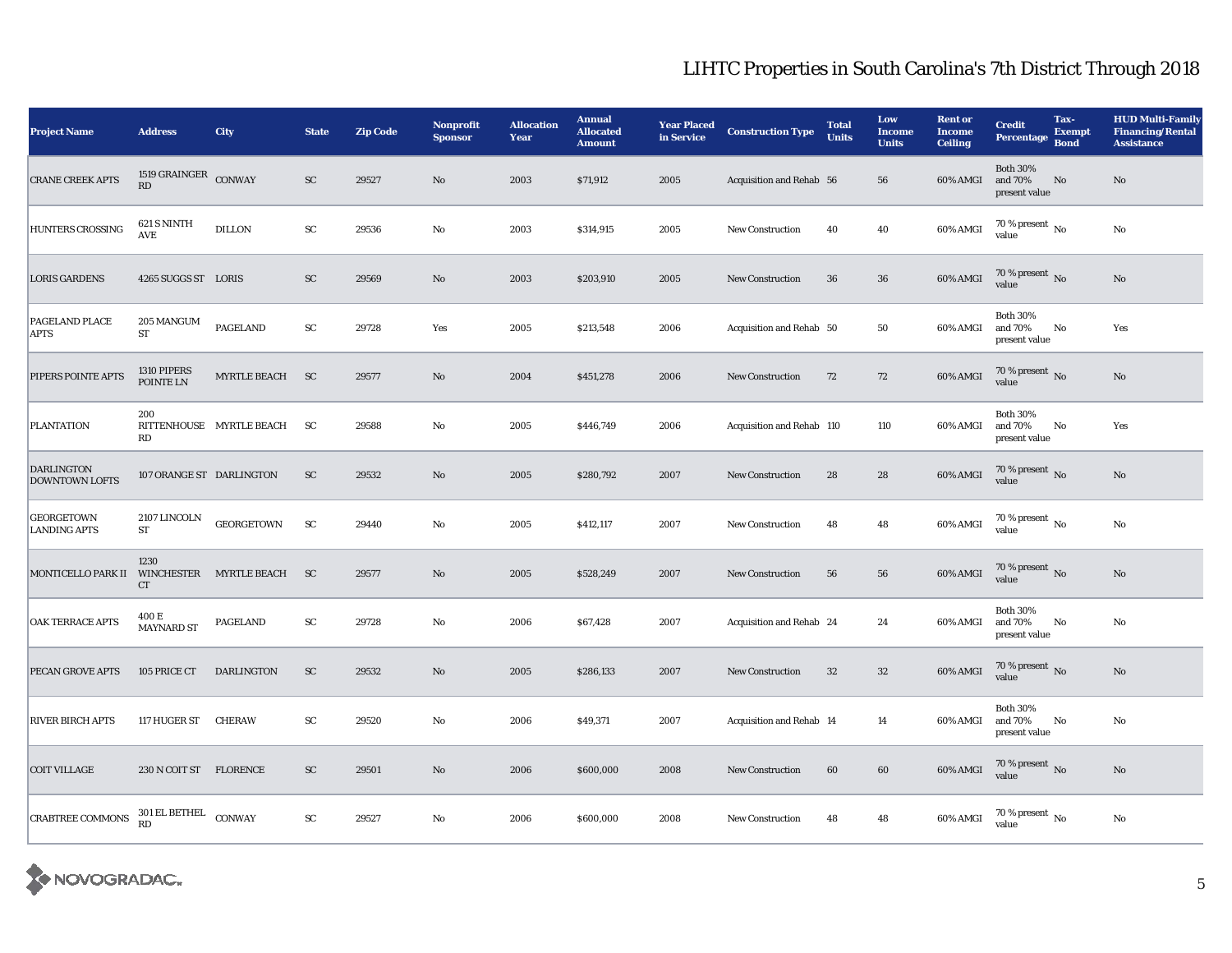| <b>Project Name</b>                        | <b>Address</b>                         | City                     | <b>State</b> | <b>Zip Code</b> | <b>Nonprofit</b><br><b>Sponsor</b> | <b>Allocation</b><br><b>Year</b> | <b>Annual</b><br><b>Allocated</b><br><b>Amount</b> | <b>Year Placed</b><br>in Service | <b>Construction Type</b>  | <b>Total</b><br><b>Units</b> | Low<br><b>Income</b><br><b>Units</b> | <b>Rent or</b><br><b>Income</b><br><b>Ceiling</b> | <b>Credit</b><br><b>Percentage</b>          | Tax-<br><b>Exempt</b><br><b>Bond</b> | <b>HUD Multi-Family</b><br><b>Financing/Rental</b><br><b>Assistance</b> |
|--------------------------------------------|----------------------------------------|--------------------------|--------------|-----------------|------------------------------------|----------------------------------|----------------------------------------------------|----------------------------------|---------------------------|------------------------------|--------------------------------------|---------------------------------------------------|---------------------------------------------|--------------------------------------|-------------------------------------------------------------------------|
| <b>CRANE CREEK APTS</b>                    | 1519 $\texttt{GRAINGER}$ CONWAY<br>RD  |                          | ${\rm SC}$   | 29527           | $\rm No$                           | 2003                             | \$71,912                                           | 2005                             | Acquisition and Rehab 56  |                              | 56                                   | 60% AMGI                                          | <b>Both 30%</b><br>and 70%<br>present value | No                                   | No                                                                      |
| <b>HUNTERS CROSSING</b>                    | 621 S NINTH<br>AVE                     | <b>DILLON</b>            | ${\rm SC}$   | 29536           | No                                 | 2003                             | \$314,915                                          | 2005                             | <b>New Construction</b>   | 40                           | 40                                   | 60% AMGI                                          | 70 % present $\,$ No $\,$<br>value          |                                      | No                                                                      |
| <b>LORIS GARDENS</b>                       | 4265 SUGGS ST LORIS                    |                          | SC           | 29569           | $\mathbf{N}\mathbf{o}$             | 2003                             | \$203,910                                          | 2005                             | <b>New Construction</b>   | 36                           | 36                                   | 60% AMGI                                          | $70\,\%$ present $\,$ No value              |                                      | $\mathbf{N}\mathbf{o}$                                                  |
| <b>PAGELAND PLACE</b><br><b>APTS</b>       | 205 MANGUM<br>${\rm ST}$               | <b>PAGELAND</b>          | ${\rm SC}$   | 29728           | Yes                                | 2005                             | \$213,548                                          | 2006                             | Acquisition and Rehab 50  |                              | 50                                   | 60% AMGI                                          | <b>Both 30%</b><br>and 70%<br>present value | No                                   | Yes                                                                     |
| PIPERS POINTE APTS                         | 1310 PIPERS<br>POINTE LN               | <b>MYRTLE BEACH</b>      | <b>SC</b>    | 29577           | $\rm No$                           | 2004                             | \$451,278                                          | 2006                             | <b>New Construction</b>   | 72                           | 72                                   | 60% AMGI                                          | 70 % present $\,$ No $\,$<br>value          |                                      | No                                                                      |
| <b>PLANTATION</b>                          | 200<br>RD                              | RITTENHOUSE MYRTLE BEACH | <b>SC</b>    | 29588           | No                                 | 2005                             | \$446,749                                          | 2006                             | Acquisition and Rehab 110 |                              | 110                                  | 60% AMGI                                          | <b>Both 30%</b><br>and 70%<br>present value | No                                   | Yes                                                                     |
| <b>DARLINGTON</b><br><b>DOWNTOWN LOFTS</b> | 107 ORANGE ST DARLINGTON               |                          | SC           | 29532           | $\mathbf{N}\mathbf{o}$             | 2005                             | \$280,792                                          | 2007                             | <b>New Construction</b>   | 28                           | 28                                   | 60% AMGI                                          | 70 % present $\,$ No $\,$<br>value          |                                      | No                                                                      |
| <b>GEORGETOWN</b><br><b>LANDING APTS</b>   | 2107 LINCOLN<br>${\rm ST}$             | <b>GEORGETOWN</b>        | SC           | 29440           | No                                 | 2005                             | \$412,117                                          | 2007                             | <b>New Construction</b>   | 48                           | 48                                   | 60% AMGI                                          | 70 % present $\,$ No $\,$<br>value          |                                      | $\rm No$                                                                |
| MONTICELLO PARK II                         | 1230<br>CT                             | WINCHESTER MYRTLE BEACH  | <b>SC</b>    | 29577           | $\rm No$                           | 2005                             | \$528,249                                          | 2007                             | <b>New Construction</b>   | 56                           | 56                                   | 60% AMGI                                          | 70 % present $\,$ No $\,$<br>value          |                                      | $\rm No$                                                                |
| <b>OAK TERRACE APTS</b>                    | 400 E<br><b>MAYNARD ST</b>             | <b>PAGELAND</b>          | ${\rm SC}$   | 29728           | No                                 | 2006                             | \$67,428                                           | 2007                             | Acquisition and Rehab 24  |                              | 24                                   | 60% AMGI                                          | <b>Both 30%</b><br>and 70%<br>present value | No                                   | No                                                                      |
| PECAN GROVE APTS                           | 105 PRICE CT                           | <b>DARLINGTON</b>        | ${\rm SC}$   | 29532           | No                                 | 2005                             | \$286,133                                          | 2007                             | <b>New Construction</b>   | 32                           | $32\,$                               | 60% AMGI                                          | 70 % present $\,$ No $\,$<br>value          |                                      | $\rm No$                                                                |
| <b>RIVER BIRCH APTS</b>                    | 117 HUGER ST                           | <b>CHERAW</b>            | ${\rm SC}$   | 29520           | No                                 | 2006                             | \$49,371                                           | 2007                             | Acquisition and Rehab 14  |                              | 14                                   | 60% AMGI                                          | <b>Both 30%</b><br>and 70%<br>present value | No                                   | No                                                                      |
| <b>COIT VILLAGE</b>                        | 230 N COIT ST FLORENCE                 |                          | SC           | 29501           | $\rm No$                           | 2006                             | \$600,000                                          | 2008                             | <b>New Construction</b>   | 60                           | 60                                   | 60% AMGI                                          | $70\,\%$ present $\,$ No value              |                                      | $\rm No$                                                                |
| <b>CRABTREE COMMONS</b>                    | $301\,\mathrm{EL}$ BETHEL<br><b>RD</b> | CONWAY                   | ${\rm SC}$   | 29527           | No                                 | 2006                             | \$600,000                                          | 2008                             | <b>New Construction</b>   | 48                           | 48                                   | 60% AMGI                                          | 70 % present $\,$ No $\,$<br>value          |                                      | $\rm No$                                                                |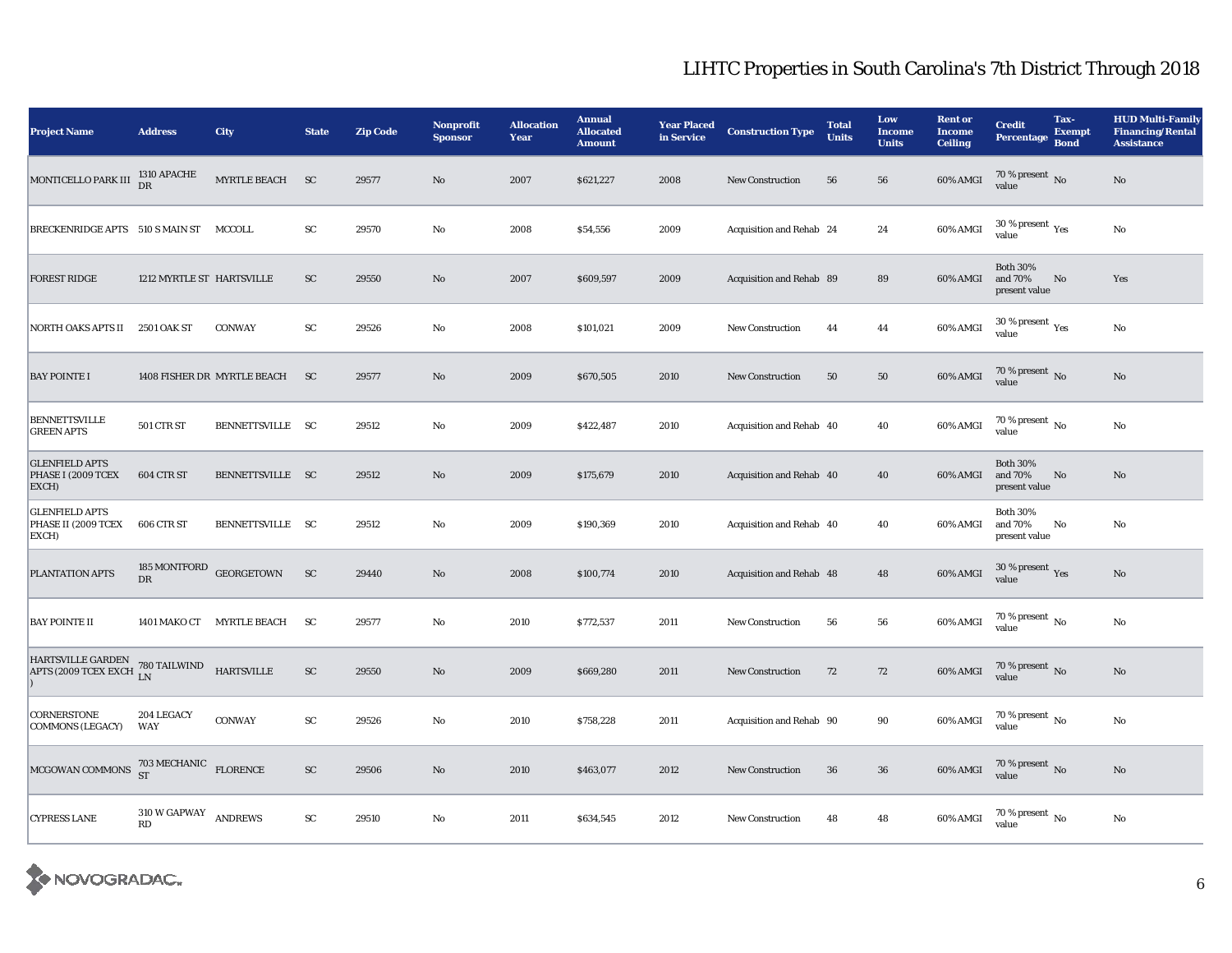| <b>Project Name</b>                                                                                          | <b>Address</b>                              | <b>City</b>                 | <b>State</b>  | <b>Zip Code</b> | <b>Nonprofit</b><br><b>Sponsor</b> | <b>Allocation</b><br>Year | <b>Annual</b><br><b>Allocated</b><br><b>Amount</b> | <b>Year Placed</b><br>in Service | <b>Construction Type</b> | <b>Total</b><br><b>Units</b> | Low<br><b>Income</b><br><b>Units</b> | <b>Rent or</b><br><b>Income</b><br><b>Ceiling</b> | <b>Credit</b><br>Percentage                 | Tax-<br><b>Exempt</b><br><b>Bond</b> | <b>HUD Multi-Family</b><br><b>Financing/Rental</b><br><b>Assistance</b> |
|--------------------------------------------------------------------------------------------------------------|---------------------------------------------|-----------------------------|---------------|-----------------|------------------------------------|---------------------------|----------------------------------------------------|----------------------------------|--------------------------|------------------------------|--------------------------------------|---------------------------------------------------|---------------------------------------------|--------------------------------------|-------------------------------------------------------------------------|
| MONTICELLO PARK III                                                                                          | 1310 APACHE<br>DR                           | MYRTLE BEACH SC             |               | 29577           | No                                 | 2007                      | \$621,227                                          | 2008                             | <b>New Construction</b>  | 56                           | 56                                   | 60% AMGI                                          | 70 % present $\,$ No $\,$<br>value          |                                      | No                                                                      |
| BRECKENRIDGE APTS 510 S MAIN ST MCCOLL                                                                       |                                             |                             | SC            | 29570           | No                                 | 2008                      | \$54,556                                           | 2009                             | Acquisition and Rehab 24 |                              | 24                                   | 60% AMGI                                          | 30 % present $\rm \gamma_{\rm es}$<br>value |                                      | No                                                                      |
| <b>FOREST RIDGE</b>                                                                                          | 1212 MYRTLE ST HARTSVILLE                   |                             | <b>SC</b>     | 29550           | No                                 | 2007                      | \$609,597                                          | 2009                             | Acquisition and Rehab 89 |                              | 89                                   | 60% AMGI                                          | <b>Both 30%</b><br>and 70%<br>present value | No                                   | Yes                                                                     |
| NORTH OAKS APTS II                                                                                           | 2501 OAK ST                                 | <b>CONWAY</b>               | ${\rm SC}$    | 29526           | No                                 | 2008                      | \$101,021                                          | 2009                             | <b>New Construction</b>  | 44                           | 44                                   | $60\%$ AMGI                                       | 30 % present $\,$ $\rm Yes$<br>value        |                                      | $\rm No$                                                                |
| <b>BAY POINTE I</b>                                                                                          |                                             | 1408 FISHER DR MYRTLE BEACH | <sub>SC</sub> | 29577           | No                                 | 2009                      | \$670,505                                          | 2010                             | New Construction         | 50                           | ${\bf 50}$                           | $60\%$ AMGI                                       | 70 % present $\,$ No $\,$<br>value          |                                      | No                                                                      |
| <b>BENNETTSVILLE</b><br><b>GREEN APTS</b>                                                                    | <b>501 CTR ST</b>                           | BENNETTSVILLE SC            |               | 29512           | No                                 | 2009                      | \$422,487                                          | 2010                             | Acquisition and Rehab 40 |                              | 40                                   | 60% AMGI                                          | 70 % present $\,$ No $\,$<br>value          |                                      | No                                                                      |
| <b>GLENFIELD APTS</b><br>PHASE I (2009 TCEX<br>EXCH)                                                         | 604 CTR ST                                  | BENNETTSVILLE SC            |               | 29512           | No                                 | 2009                      | \$175,679                                          | 2010                             | Acquisition and Rehab 40 |                              | 40                                   | 60% AMGI                                          | <b>Both 30%</b><br>and 70%<br>present value | No                                   | No                                                                      |
| <b>GLENFIELD APTS</b><br>PHASE II (2009 TCEX<br>EXCH)                                                        | 606 CTR ST                                  | BENNETTSVILLE SC            |               | 29512           | No                                 | 2009                      | \$190,369                                          | 2010                             | Acquisition and Rehab 40 |                              | 40                                   | 60% AMGI                                          | <b>Both 30%</b><br>and 70%<br>present value | No                                   | No                                                                      |
| PLANTATION APTS                                                                                              | DR                                          | 185 MONTFORD GEORGETOWN     | <b>SC</b>     | 29440           | No                                 | 2008                      | \$100,774                                          | 2010                             | Acquisition and Rehab 48 |                              | 48                                   | $60\%$ AMGI                                       | 30 % present $\,$ $\rm Yes$<br>value        |                                      | $\rm No$                                                                |
| <b>BAY POINTE II</b>                                                                                         |                                             | 1401 MAKO CT MYRTLE BEACH   | <b>SC</b>     | 29577           | No                                 | 2010                      | \$772,537                                          | 2011                             | <b>New Construction</b>  | 56                           | 56                                   | 60% AMGI                                          | 70 % present $\hbox{~No}$<br>value          |                                      | $\rm No$                                                                |
| $\frac{\mbox{HARTSVILLE GARDEN}}{\mbox{APTS (2009 TCEX EXCH} \begin{tabular}{l} 780 TAILWIND \end{tabular}}$ |                                             | <b>HARTSVILLE</b>           | ${\rm SC}$    | 29550           | No                                 | 2009                      | \$669,280                                          | 2011                             | <b>New Construction</b>  | 72                           | 72                                   | 60% AMGI                                          | 70 % present No<br>value                    |                                      | No                                                                      |
| CORNERSTONE<br><b>COMMONS (LEGACY)</b>                                                                       | 204 LEGACY<br>WAY                           | <b>CONWAY</b>               | ${\rm SC}$    | 29526           | No                                 | 2010                      | \$758,228                                          | 2011                             | Acquisition and Rehab 90 |                              | 90                                   | $60\%$ AMGI                                       | 70 % present $\,$ No $\,$<br>value          |                                      | No                                                                      |
| MCGOWAN COMMONS $^{703}_{ST}$ MECHANIC FLORENCE                                                              |                                             |                             | ${\rm SC}$    | 29506           | No                                 | 2010                      | \$463,077                                          | 2012                             | <b>New Construction</b>  | 36                           | 36                                   | $60\%$ AMGI                                       | $70\,\%$ present $\,$ No value              |                                      | $\mathbf{N}\mathbf{o}$                                                  |
| <b>CYPRESS LANE</b>                                                                                          | $310\ \text{W}$ GAPWAY ANDREWS<br><b>RD</b> |                             | ${\rm SC}$    | 29510           | No                                 | 2011                      | \$634,545                                          | 2012                             | <b>New Construction</b>  | 48                           | 48                                   | 60% AMGI                                          | $70$ % present $\,$ No $\,$<br>value        |                                      | $\rm No$                                                                |

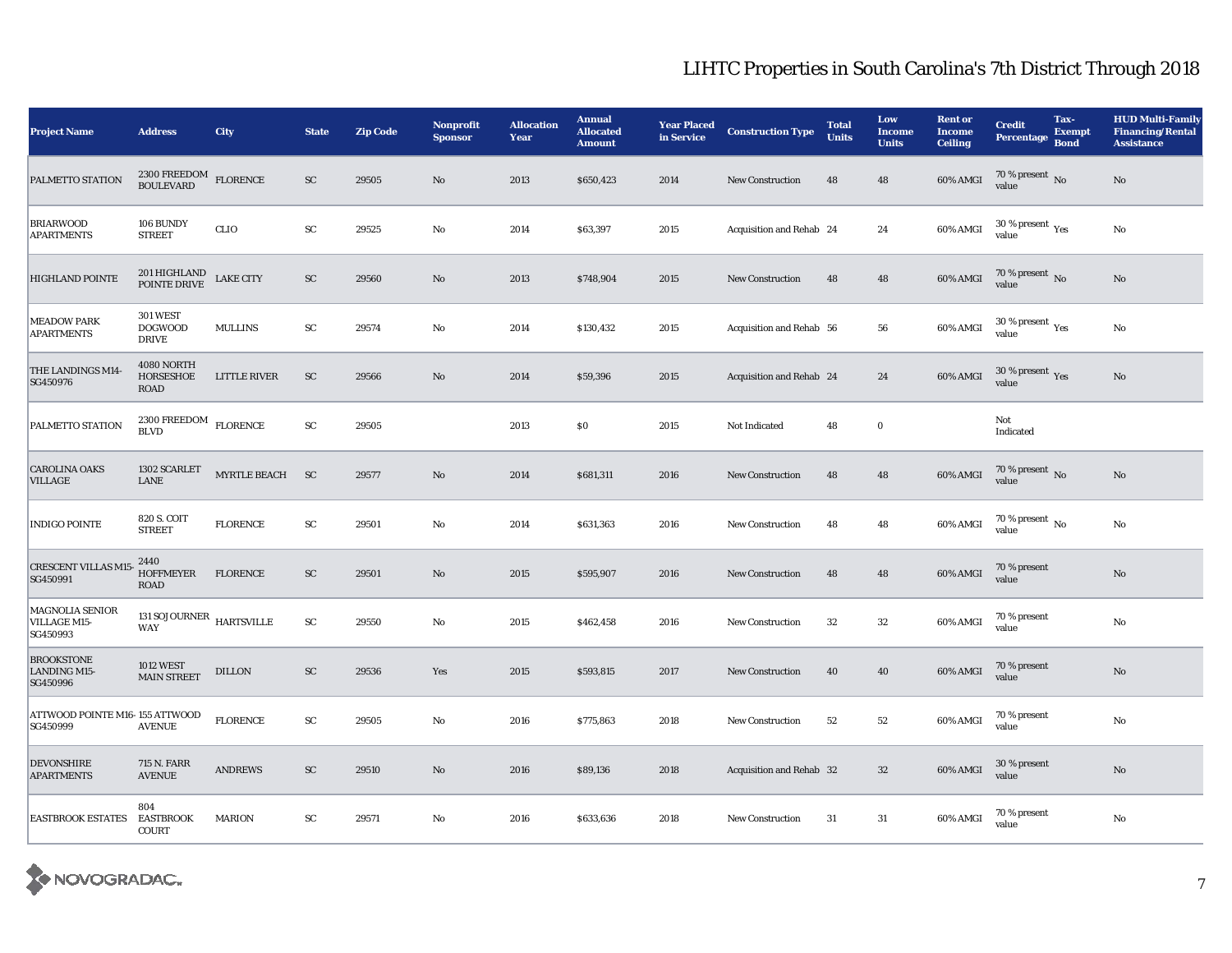| <b>Project Name</b>                           | <b>Address</b>                                                | City                | <b>State</b> | <b>Zip Code</b> | <b>Nonprofit</b><br><b>Sponsor</b> | <b>Allocation</b><br>Year | <b>Annual</b><br><b>Allocated</b><br><b>Amount</b> | <b>Year Placed</b><br>in Service | <b>Construction Type</b> | <b>Total</b><br><b>Units</b> | Low<br><b>Income</b><br><b>Units</b> | <b>Rent or</b><br><b>Income</b><br><b>Ceiling</b> | <b>Credit</b><br><b>Percentage</b>          | Tax-<br><b>Exempt</b><br><b>Bond</b> | <b>HUD Multi-Family</b><br><b>Financing/Rental</b><br><b>Assistance</b> |
|-----------------------------------------------|---------------------------------------------------------------|---------------------|--------------|-----------------|------------------------------------|---------------------------|----------------------------------------------------|----------------------------------|--------------------------|------------------------------|--------------------------------------|---------------------------------------------------|---------------------------------------------|--------------------------------------|-------------------------------------------------------------------------|
| PALMETTO STATION                              | 2300 FREEDOM<br>BOULEVARD                                     | <b>FLORENCE</b>     | <b>SC</b>    | 29505           | No                                 | 2013                      | \$650,423                                          | 2014                             | <b>New Construction</b>  | 48                           | 48                                   | 60% AMGI                                          | 70 % present $\,$ No $\,$<br>value          |                                      | $\rm No$                                                                |
| <b>BRIARWOOD</b><br><b>APARTMENTS</b>         | 106 BUNDY<br><b>STREET</b>                                    | <b>CLIO</b>         | ${\rm SC}$   | 29525           | No                                 | 2014                      | \$63,397                                           | 2015                             | Acquisition and Rehab 24 |                              | 24                                   | 60% AMGI                                          | 30 % present $\rm \gamma_{\rm es}$<br>value |                                      | $\rm No$                                                                |
| <b>HIGHLAND POINTE</b>                        | 201 HIGHLAND<br>POINTE DRIVE                                  | <b>LAKE CITY</b>    | ${\rm SC}$   | 29560           | No                                 | 2013                      | \$748,904                                          | 2015                             | New Construction         | 48                           | 48                                   | 60% AMGI                                          | $70\,\%$ present $_{\rm No}$                |                                      | $\rm\thinspace No$                                                      |
| <b>MEADOW PARK</b><br><b>APARTMENTS</b>       | <b>301 WEST</b><br><b>DOGWOOD</b><br><b>DRIVE</b>             | <b>MULLINS</b>      | SC           | 29574           | $\mathbf{No}$                      | 2014                      | \$130,432                                          | 2015                             | Acquisition and Rehab 56 |                              | ${\bf 56}$                           | 60% AMGI                                          | $30$ % present $\,$ $\rm Yes$<br>value      |                                      | $\rm No$                                                                |
| THE LANDINGS M14-<br>SG450976                 | 4080 NORTH<br>HORSESHOE<br><b>ROAD</b>                        | <b>LITTLE RIVER</b> | <b>SC</b>    | 29566           | No                                 | 2014                      | \$59,396                                           | 2015                             | Acquisition and Rehab 24 |                              | 24                                   | $60\%$ AMGI                                       | 30 % present $\gamma_{\rm e s}$<br>value    |                                      | $\rm No$                                                                |
| PALMETTO STATION                              | $2300\ \mbox{FREDOM}\quad$ $\textrm{FLORENCE}$<br><b>BLVD</b> |                     | ${\rm SC}$   | 29505           |                                    | 2013                      | $\$0$                                              | 2015                             | Not Indicated            | 48                           | $\boldsymbol{0}$                     |                                                   | Not<br>Indicated                            |                                      |                                                                         |
| <b>CAROLINA OAKS</b><br>VILLAGE               | 1302 SCARLET<br>LANE                                          | <b>MYRTLE BEACH</b> | <b>SC</b>    | 29577           | No                                 | 2014                      | \$681,311                                          | 2016                             | New Construction         | 48                           | 48                                   | 60% AMGI                                          | 70 % present $\,$ No $\,$<br>value          |                                      | $\rm No$                                                                |
| <b>INDIGO POINTE</b>                          | 820 S. COIT<br><b>STREET</b>                                  | <b>FLORENCE</b>     | ${\rm SC}$   | 29501           | No                                 | 2014                      | \$631,363                                          | 2016                             | <b>New Construction</b>  | 48                           | 48                                   | 60% AMGI                                          | 70 % present $\,$ No $\,$<br>value          |                                      | $\rm No$                                                                |
| <b>CRESCENT VILLAS M15</b><br>SG450991        | 2440<br><b>HOFFMEYER</b><br><b>ROAD</b>                       | <b>FLORENCE</b>     | <b>SC</b>    | 29501           | No                                 | 2015                      | \$595,907                                          | 2016                             | <b>New Construction</b>  | 48                           | 48                                   | 60% AMGI                                          | 70 % present<br>value                       |                                      | $\rm No$                                                                |
| MAGNOLIA SENIOR<br>VILLAGE M15-<br>SG450993   | 131 SOJOURNER<br>WAY                                          | <b>HARTSVILLE</b>   | ${\rm SC}$   | 29550           | No                                 | 2015                      | \$462,458                                          | 2016                             | <b>New Construction</b>  | 32                           | 32                                   | 60% AMGI                                          | 70 % present<br>value                       |                                      | $\rm No$                                                                |
| <b>BROOKSTONE</b><br>LANDING M15-<br>SG450996 | <b>1012 WEST</b><br><b>MAIN STREET</b>                        | <b>DILLON</b>       | SC           | 29536           | Yes                                | 2015                      | \$593,815                                          | 2017                             | New Construction         | 40                           | 40                                   | 60% AMGI                                          | 70 % present<br>value                       |                                      | $\rm No$                                                                |
| ATTWOOD POINTE M16-155 ATTWOOD<br>SG450999    | <b>AVENUE</b>                                                 | <b>FLORENCE</b>     | ${\rm SC}$   | 29505           | No                                 | 2016                      | \$775,863                                          | 2018                             | <b>New Construction</b>  | 52                           | $52\,$                               | 60% AMGI                                          | 70 % present<br>value                       |                                      | $\rm No$                                                                |
| <b>DEVONSHIRE</b><br><b>APARTMENTS</b>        | 715 N. FARR<br><b>AVENUE</b>                                  | <b>ANDREWS</b>      | SC           | 29510           | No                                 | 2016                      | \$89,136                                           | 2018                             | Acquisition and Rehab 32 |                              | $32\,$                               | 60% AMGI                                          | 30 % present<br>value                       |                                      | $\rm No$                                                                |
| <b>EASTBROOK ESTATES</b>                      | 804<br><b>EASTBROOK</b><br><b>COURT</b>                       | <b>MARION</b>       | SC           | 29571           | No                                 | 2016                      | \$633,636                                          | 2018                             | <b>New Construction</b>  | 31                           | 31                                   | 60% AMGI                                          | 70 % present<br>value                       |                                      | No                                                                      |